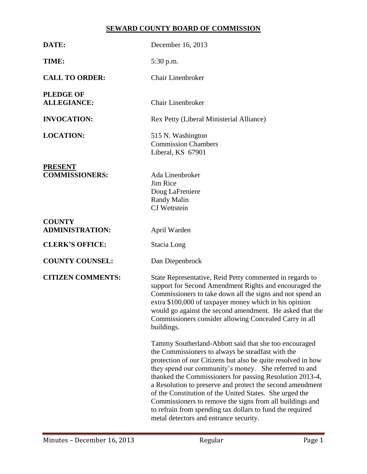# **SEWARD COUNTY BOARD OF COMMISSION**

| DATE:                                   | December 16, 2013                                                                                                                                                                                                                                                                                                                                                                                                                                                                                                                                                                          |
|-----------------------------------------|--------------------------------------------------------------------------------------------------------------------------------------------------------------------------------------------------------------------------------------------------------------------------------------------------------------------------------------------------------------------------------------------------------------------------------------------------------------------------------------------------------------------------------------------------------------------------------------------|
| TIME:                                   | 5:30 p.m.                                                                                                                                                                                                                                                                                                                                                                                                                                                                                                                                                                                  |
| <b>CALL TO ORDER:</b>                   | <b>Chair Linenbroker</b>                                                                                                                                                                                                                                                                                                                                                                                                                                                                                                                                                                   |
| <b>PLEDGE OF</b><br><b>ALLEGIANCE:</b>  | <b>Chair Linenbroker</b>                                                                                                                                                                                                                                                                                                                                                                                                                                                                                                                                                                   |
| <b>INVOCATION:</b>                      | Rex Petty (Liberal Ministerial Alliance)                                                                                                                                                                                                                                                                                                                                                                                                                                                                                                                                                   |
| <b>LOCATION:</b>                        | 515 N. Washington<br><b>Commission Chambers</b><br>Liberal, KS 67901                                                                                                                                                                                                                                                                                                                                                                                                                                                                                                                       |
| <b>PRESENT</b><br><b>COMMISSIONERS:</b> | Ada Linenbroker<br>Jim Rice<br>Doug LaFreniere<br><b>Randy Malin</b><br><b>CJ</b> Wettstein                                                                                                                                                                                                                                                                                                                                                                                                                                                                                                |
| <b>COUNTY</b><br><b>ADMINISTRATION:</b> | April Warden                                                                                                                                                                                                                                                                                                                                                                                                                                                                                                                                                                               |
| <b>CLERK'S OFFICE:</b>                  | Stacia Long                                                                                                                                                                                                                                                                                                                                                                                                                                                                                                                                                                                |
| <b>COUNTY COUNSEL:</b>                  | Dan Diepenbrock                                                                                                                                                                                                                                                                                                                                                                                                                                                                                                                                                                            |
| <b>CITIZEN COMMENTS:</b>                | State Representative, Reid Petty commented in regards to<br>support for Second Amendment Rights and encouraged the<br>Commissioners to take down all the signs and not spend an<br>extra \$100,000 of taxpayer money which in his opinion<br>would go against the second amendment. He asked that the<br>Commissioners consider allowing Concealed Carry in all<br>buildings.                                                                                                                                                                                                              |
|                                         | Tammy Southerland-Abbott said that she too encouraged<br>the Commissioners to always be steadfast with the<br>protection of our Citizens but also be quite resolved in how<br>they spend our community's money. She referred to and<br>thanked the Commissioners for passing Resolution 2013-4,<br>a Resolution to preserve and protect the second amendment<br>of the Constitution of the United States. She urged the<br>Commissioners to remove the signs from all buildings and<br>to refrain from spending tax dollars to fund the required<br>metal detectors and entrance security. |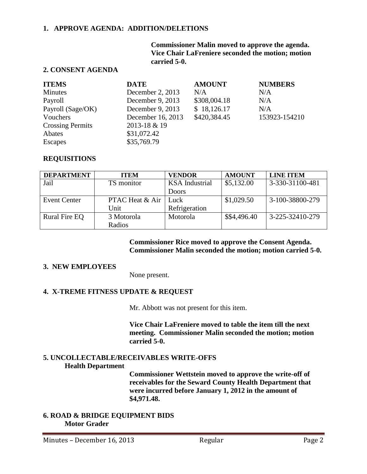#### **1. APPROVE AGENDA: ADDITION/DELETIONS**

**Commissioner Malin moved to approve the agenda. Vice Chair LaFreniere seconded the motion; motion carried 5-0.**

## **2. CONSENT AGENDA**

| <b>ITEMS</b>            | <b>DATE</b>       | <b>AMOUNT</b> | <b>NUMBERS</b> |
|-------------------------|-------------------|---------------|----------------|
| <b>Minutes</b>          | December 2, 2013  | N/A           | N/A            |
| Payroll                 | December 9, 2013  | \$308,004.18  | N/A            |
| Payroll (Sage/OK)       | December 9, 2013  | \$18,126.17   | N/A            |
| Vouchers                | December 16, 2013 | \$420,384.45  | 153923-154210  |
| <b>Crossing Permits</b> | 2013-18 & 19      |               |                |
| Abates                  | \$31,072.42       |               |                |
| <b>Escapes</b>          | \$35,769.79       |               |                |

#### **REQUISITIONS**

| <b>DEPARTMENT</b>    | <b>ITEM</b>     | <b>VENDOR</b>         | <b>AMOUNT</b> | <b>LINE ITEM</b> |
|----------------------|-----------------|-----------------------|---------------|------------------|
| Jail                 | TS monitor      | <b>KSA</b> Industrial | \$5,132.00    | 3-330-31100-481  |
|                      |                 | Doors                 |               |                  |
| <b>Event Center</b>  | PTAC Heat & Air | Luck                  | \$1,029.50    | 3-100-38800-279  |
|                      | Unit            | Refrigeration         |               |                  |
| <b>Rural Fire EQ</b> | 3 Motorola      | Motorola              | \$\$4,496.40  | 3-225-32410-279  |
|                      | Radios          |                       |               |                  |

#### **Commissioner Rice moved to approve the Consent Agenda. Commissioner Malin seconded the motion; motion carried 5-0.**

#### **3. NEW EMPLOYEES**

None present.

#### **4. X-TREME FITNESS UPDATE & REQUEST**

Mr. Abbott was not present for this item.

**Vice Chair LaFreniere moved to table the item till the next meeting. Commissioner Malin seconded the motion; motion carried 5-0.**

### **5. UNCOLLECTABLE/RECEIVABLES WRITE-OFFS Health Department**

**Commissioner Wettstein moved to approve the write-off of receivables for the Seward County Health Department that were incurred before January 1, 2012 in the amount of \$4,971.48.** 

#### **6. ROAD & BRIDGE EQUIPMENT BIDS Motor Grader**

Minutes – December 16, 2013 Regular Regular Page 2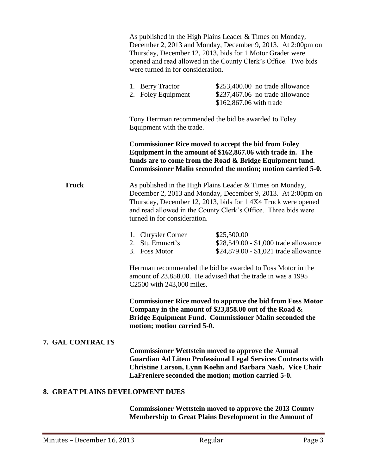|                                  | As published in the High Plains Leader & Times on Monday,<br>December 2, 2013 and Monday, December 9, 2013. At 2:00pm on<br>Thursday, December 12, 2013, bids for 1 Motor Grader were<br>opened and read allowed in the County Clerk's Office. Two bids<br>were turned in for consideration. |                                                                                                                                                                                                                                                      |
|----------------------------------|----------------------------------------------------------------------------------------------------------------------------------------------------------------------------------------------------------------------------------------------------------------------------------------------|------------------------------------------------------------------------------------------------------------------------------------------------------------------------------------------------------------------------------------------------------|
|                                  | 1. Berry Tractor<br>2. Foley Equipment                                                                                                                                                                                                                                                       | \$253,400.00 no trade allowance<br>\$237,467.06 no trade allowance<br>\$162,867.06 with trade                                                                                                                                                        |
|                                  | Equipment with the trade.                                                                                                                                                                                                                                                                    | Tony Herrman recommended the bid be awarded to Foley                                                                                                                                                                                                 |
|                                  |                                                                                                                                                                                                                                                                                              | <b>Commissioner Rice moved to accept the bid from Foley</b><br>Equipment in the amount of \$162,867.06 with trade in. The<br>funds are to come from the Road & Bridge Equipment fund.<br>Commissioner Malin seconded the motion; motion carried 5-0. |
| <b>Truck</b>                     | As published in the High Plains Leader & Times on Monday,<br>December 2, 2013 and Monday, December 9, 2013. At 2:00pm on<br>Thursday, December 12, 2013, bids for 14X4 Truck were opened<br>and read allowed in the County Clerk's Office. Three bids were<br>turned in for consideration.   |                                                                                                                                                                                                                                                      |
|                                  | 1. Chrysler Corner<br>2. Stu Emmert's<br>3. Foss Motor                                                                                                                                                                                                                                       | \$25,500.00<br>\$28,549.00 - \$1,000 trade allowance<br>\$24,879.00 - \$1,021 trade allowance                                                                                                                                                        |
|                                  | C2500 with 243,000 miles.                                                                                                                                                                                                                                                                    | Herrman recommended the bid be awarded to Foss Motor in the<br>amount of 23,858.00. He advised that the trade in was a 1995                                                                                                                          |
|                                  | motion; motion carried 5-0.                                                                                                                                                                                                                                                                  | <b>Commissioner Rice moved to approve the bid from Foss Motor</b><br>Company in the amount of \$23,858.00 out of the Road &<br>Bridge Equipment Fund. Commissioner Malin seconded the                                                                |
| <b>7. GAL CONTRACTS</b>          |                                                                                                                                                                                                                                                                                              | <b>Commissioner Wettstein moved to approve the Annual</b><br><b>Guardian Ad Litem Professional Legal Services Contracts with</b><br>Christine Larson, Lynn Koehn and Barbara Nash. Vice Chair<br>LaFreniere seconded the motion; motion carried 5-0. |
| 8. GREAT PLAINS DEVELOPMENT DUES |                                                                                                                                                                                                                                                                                              |                                                                                                                                                                                                                                                      |
|                                  | <b>Commissioner Wettstein moved to approve the 2013 County</b><br>Membership to Great Plains Development in the Amount of                                                                                                                                                                    |                                                                                                                                                                                                                                                      |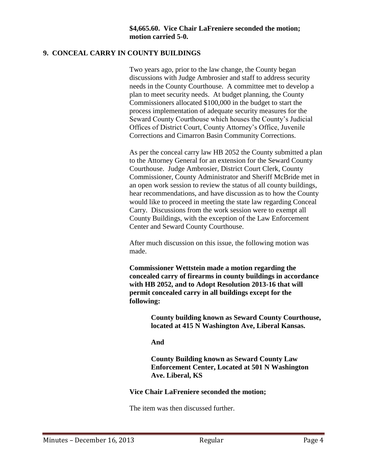### **9. CONCEAL CARRY IN COUNTY BUILDINGS**

Two years ago, prior to the law change, the County began discussions with Judge Ambrosier and staff to address security needs in the County Courthouse. A committee met to develop a plan to meet security needs. At budget planning, the County Commissioners allocated \$100,000 in the budget to start the process implementation of adequate security measures for the Seward County Courthouse which houses the County's Judicial Offices of District Court, County Attorney's Office, Juvenile Corrections and Cimarron Basin Community Corrections.

As per the conceal carry law HB 2052 the County submitted a plan to the Attorney General for an extension for the Seward County Courthouse. Judge Ambrosier, District Court Clerk, County Commissioner, County Administrator and Sheriff McBride met in an open work session to review the status of all county buildings, hear recommendations, and have discussion as to how the County would like to proceed in meeting the state law regarding Conceal Carry. Discussions from the work session were to exempt all County Buildings, with the exception of the Law Enforcement Center and Seward County Courthouse.

After much discussion on this issue, the following motion was made.

**Commissioner Wettstein made a motion regarding the concealed carry of firearms in county buildings in accordance with HB 2052, and to Adopt Resolution 2013-16 that will permit concealed carry in all buildings except for the following:**

> **County building known as Seward County Courthouse, located at 415 N Washington Ave, Liberal Kansas.**

**And**

**County Building known as Seward County Law Enforcement Center, Located at 501 N Washington Ave. Liberal, KS** 

**Vice Chair LaFreniere seconded the motion;**

The item was then discussed further.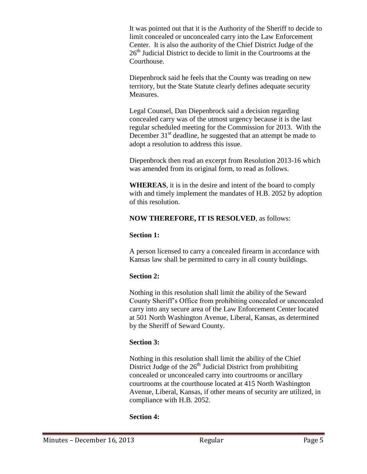It was pointed out that it is the Authority of the Sheriff to decide to limit concealed or unconcealed carry into the Law Enforcement Center. It is also the authority of the Chief District Judge of the 26<sup>th</sup> Judicial District to decide to limit in the Courtrooms at the Courthouse.

Diepenbrock said he feels that the County was treading on new territory, but the State Statute clearly defines adequate security Measures.

Legal Counsel, Dan Diepenbrock said a decision regarding concealed carry was of the utmost urgency because it is the last regular scheduled meeting for the Commission for 2013. With the December  $31<sup>st</sup>$  deadline, he suggested that an attempt be made to adopt a resolution to address this issue.

Diepenbrock then read an excerpt from Resolution 2013-16 which was amended from its original form, to read as follows.

**WHEREAS**, it is in the desire and intent of the board to comply with and timely implement the mandates of H.B. 2052 by adoption of this resolution.

## **NOW THEREFORE, IT IS RESOLVED**, as follows:

### **Section 1:**

A person licensed to carry a concealed firearm in accordance with Kansas law shall be permitted to carry in all county buildings.

## **Section 2:**

Nothing in this resolution shall limit the ability of the Seward County Sheriff's Office from prohibiting concealed or unconcealed carry into any secure area of the Law Enforcement Center located at 501 North Washington Avenue, Liberal, Kansas, as determined by the Sheriff of Seward County.

### **Section 3:**

Nothing in this resolution shall limit the ability of the Chief District Judge of the  $26<sup>th</sup>$  Judicial District from prohibiting concealed or unconcealed carry into courtrooms or ancillary courtrooms at the courthouse located at 415 North Washington Avenue, Liberal, Kansas, if other means of security are utilized, in compliance with H.B. 2052.

## **Section 4:**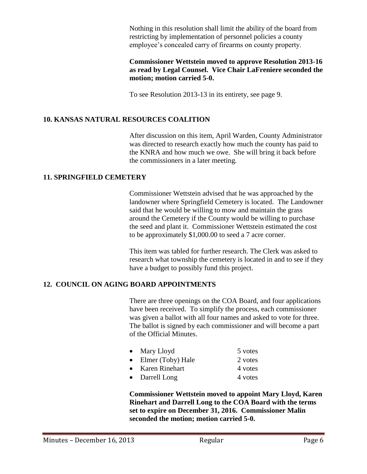Nothing in this resolution shall limit the ability of the board from restricting by implementation of personnel policies a county employee's concealed carry of firearms on county property.

### **Commissioner Wettstein moved to approve Resolution 2013-16 as read by Legal Counsel. Vice Chair LaFreniere seconded the motion; motion carried 5-0.**

To see Resolution 2013-13 in its entirety, see page 9.

## **10. KANSAS NATURAL RESOURCES COALITION**

After discussion on this item, April Warden, County Administrator was directed to research exactly how much the county has paid to the KNRA and how much we owe. She will bring it back before the commissioners in a later meeting.

### **11. SPRINGFIELD CEMETERY**

Commissioner Wettstein advised that he was approached by the landowner where Springfield Cemetery is located. The Landowner said that he would be willing to mow and maintain the grass around the Cemetery if the County would be willing to purchase the seed and plant it. Commissioner Wettstein estimated the cost to be approximately \$1,000.00 to seed a 7 acre corner.

This item was tabled for further research. The Clerk was asked to research what township the cemetery is located in and to see if they have a budget to possibly fund this project.

## **12. COUNCIL ON AGING BOARD APPOINTMENTS**

There are three openings on the COA Board, and four applications have been received. To simplify the process, each commissioner was given a ballot with all four names and asked to vote for three. The ballot is signed by each commissioner and will become a part of the Official Minutes.

| $\bullet$ Mary Lloyd | 5 votes |
|----------------------|---------|
| Elmer (Toby) Hale    | 2 votes |
| Karen Rinehart       | 4 votes |
| Darrell Long         | 4 votes |

**Commissioner Wettstein moved to appoint Mary Lloyd, Karen Rinehart and Darrell Long to the COA Board with the terms set to expire on December 31, 2016. Commissioner Malin seconded the motion; motion carried 5-0.**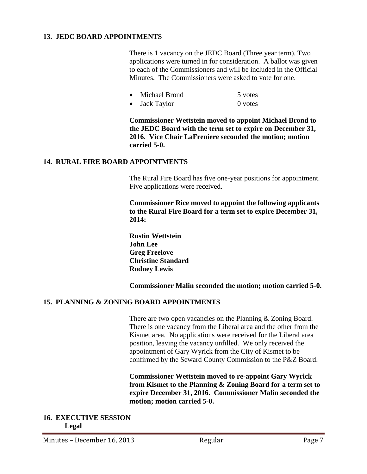### **13. JEDC BOARD APPOINTMENTS**

There is 1 vacancy on the JEDC Board (Three year term). Two applications were turned in for consideration. A ballot was given to each of the Commissioners and will be included in the Official Minutes. The Commissioners were asked to vote for one.

|           | Michael Brond | 5 votes |
|-----------|---------------|---------|
| $\bullet$ | Jack Taylor   | 0 votes |

**Commissioner Wettstein moved to appoint Michael Brond to the JEDC Board with the term set to expire on December 31, 2016. Vice Chair LaFreniere seconded the motion; motion carried 5-0.**

### **14. RURAL FIRE BOARD APPOINTMENTS**

The Rural Fire Board has five one-year positions for appointment. Five applications were received.

**Commissioner Rice moved to appoint the following applicants to the Rural Fire Board for a term set to expire December 31, 2014:**

**Rustin Wettstein John Lee Greg Freelove Christine Standard Rodney Lewis**

**Commissioner Malin seconded the motion; motion carried 5-0.**

#### **15. PLANNING & ZONING BOARD APPOINTMENTS**

There are two open vacancies on the Planning & Zoning Board. There is one vacancy from the Liberal area and the other from the Kismet area. No applications were received for the Liberal area position, leaving the vacancy unfilled. We only received the appointment of Gary Wyrick from the City of Kismet to be confirmed by the Seward County Commission to the P&Z Board.

**Commissioner Wettstein moved to re-appoint Gary Wyrick from Kismet to the Planning & Zoning Board for a term set to expire December 31, 2016. Commissioner Malin seconded the motion; motion carried 5-0.**

#### **16. EXECUTIVE SESSION Legal**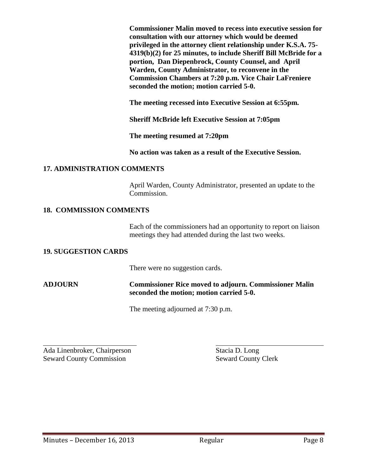**Commissioner Malin moved to recess into executive session for consultation with our attorney which would be deemed privileged in the attorney client relationship under K.S.A. 75- 4319(b)(2) for 25 minutes, to include Sheriff Bill McBride for a portion, Dan Diepenbrock, County Counsel, and April Warden, County Administrator, to reconvene in the Commission Chambers at 7:20 p.m. Vice Chair LaFreniere seconded the motion; motion carried 5-0.**

**The meeting recessed into Executive Session at 6:55pm.**

**Sheriff McBride left Executive Session at 7:05pm**

**The meeting resumed at 7:20pm**

**No action was taken as a result of the Executive Session.**

### **17. ADMINISTRATION COMMENTS**

April Warden, County Administrator, presented an update to the Commission.

## **18. COMMISSION COMMENTS**

Each of the commissioners had an opportunity to report on liaison meetings they had attended during the last two weeks.

### **19. SUGGESTION CARDS**

There were no suggestion cards.

## **ADJOURN Commissioner Rice moved to adjourn. Commissioner Malin seconded the motion; motion carried 5-0.**

The meeting adjourned at 7:30 p.m.

l Ada Linenbroker, Chairperson Stacia D. Long Seward County Commission Seward County Clerk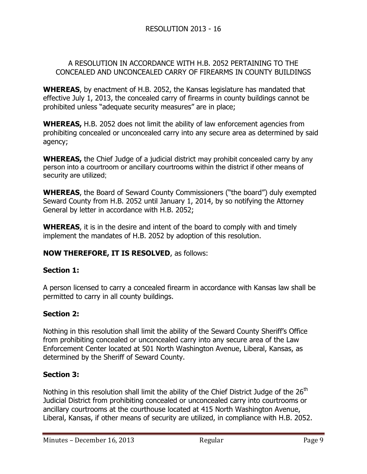## A RESOLUTION IN ACCORDANCE WITH H.B. 2052 PERTAINING TO THE CONCEALED AND UNCONCEALED CARRY OF FIREARMS IN COUNTY BUILDINGS

**WHEREAS**, by enactment of H.B. 2052, the Kansas legislature has mandated that effective July 1, 2013, the concealed carry of firearms in county buildings cannot be prohibited unless "adequate security measures" are in place;

**WHEREAS,** H.B. 2052 does not limit the ability of law enforcement agencies from prohibiting concealed or unconcealed carry into any secure area as determined by said agency;

**WHEREAS,** the Chief Judge of a judicial district may prohibit concealed carry by any person into a courtroom or ancillary courtrooms within the district if other means of security are utilized;

**WHEREAS**, the Board of Seward County Commissioners ("the board") duly exempted Seward County from H.B. 2052 until January 1, 2014, by so notifying the Attorney General by letter in accordance with H.B. 2052;

**WHEREAS**, it is in the desire and intent of the board to comply with and timely implement the mandates of H.B. 2052 by adoption of this resolution.

# **NOW THEREFORE, IT IS RESOLVED**, as follows:

## **Section 1:**

A person licensed to carry a concealed firearm in accordance with Kansas law shall be permitted to carry in all county buildings.

## **Section 2:**

Nothing in this resolution shall limit the ability of the Seward County Sheriff's Office from prohibiting concealed or unconcealed carry into any secure area of the Law Enforcement Center located at 501 North Washington Avenue, Liberal, Kansas, as determined by the Sheriff of Seward County.

## **Section 3:**

Nothing in this resolution shall limit the ability of the Chief District Judge of the 26<sup>th</sup> Judicial District from prohibiting concealed or unconcealed carry into courtrooms or ancillary courtrooms at the courthouse located at 415 North Washington Avenue, Liberal, Kansas, if other means of security are utilized, in compliance with H.B. 2052.